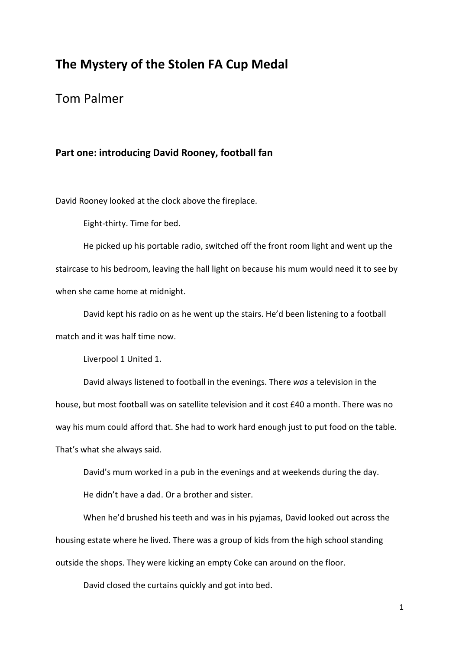## The Mystery of the Stolen FA Cup Medal

## Tom Palmer

## Part one: introducing David Rooney, football fan

David Rooney looked at the clock above the fireplace.

Eight-thirty. Time for bed.

He picked up his portable radio, switched off the front room light and went up the staircase to his bedroom, leaving the hall light on because his mum would need it to see by when she came home at midnight.

David kept his radio on as he went up the stairs. He'd been listening to a football match and it was half time now.

Liverpool 1 United 1.

David always listened to football in the evenings. There was a television in the house, but most football was on satellite television and it cost £40 a month. There was no way his mum could afford that. She had to work hard enough just to put food on the table. That's what she always said.

David's mum worked in a pub in the evenings and at weekends during the day. He didn't have a dad. Or a brother and sister.

When he'd brushed his teeth and was in his pyjamas, David looked out across the housing estate where he lived. There was a group of kids from the high school standing outside the shops. They were kicking an empty Coke can around on the floor.

David closed the curtains quickly and got into bed.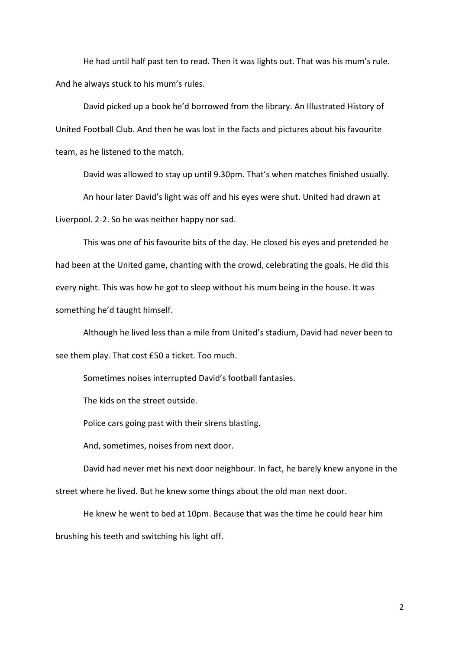He had until half past ten to read. Then it was lights out. That was his mum's rule. And he always stuck to his mum's rules.

 David picked up a book he'd borrowed from the library. An Illustrated History of United Football Club. And then he was lost in the facts and pictures about his favourite team, as he listened to the match.

 David was allowed to stay up until 9.30pm. That's when matches finished usually. An hour later David's light was off and his eyes were shut. United had drawn at Liverpool. 2-2. So he was neither happy nor sad.

This was one of his favourite bits of the day. He closed his eyes and pretended he had been at the United game, chanting with the crowd, celebrating the goals. He did this every night. This was how he got to sleep without his mum being in the house. It was something he'd taught himself.

Although he lived less than a mile from United's stadium, David had never been to see them play. That cost £50 a ticket. Too much.

Sometimes noises interrupted David's football fantasies.

The kids on the street outside.

Police cars going past with their sirens blasting.

And, sometimes, noises from next door.

 David had never met his next door neighbour. In fact, he barely knew anyone in the street where he lived. But he knew some things about the old man next door.

 He knew he went to bed at 10pm. Because that was the time he could hear him brushing his teeth and switching his light off.